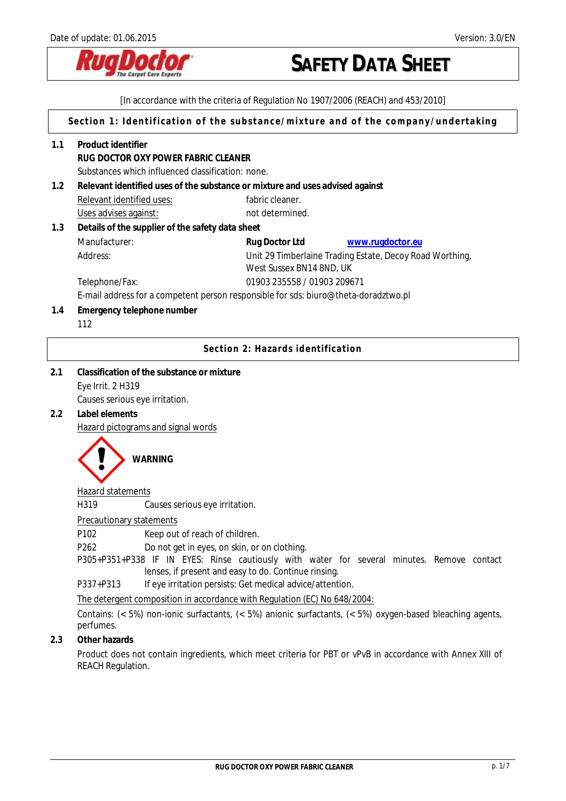

[In accordance with the criteria of Regulation No 1907/2006 (REACH) and 453/2010]

**Section 1: Identification of the substance/mixture and of the company/undertaking** 

- **1.1 Product identifier RUG DOCTOR OXY POWER FABRIC CLEANER**  Substances which influenced classification: none. **1.2 Relevant identified uses of the substance or mixture and uses advised against**  Relevant identified uses: fabric cleaner. Uses advises against: not determined. **1.3 Details of the supplier of the safety data sheet**  Manufacturer: **Rug Doctor Ltd [www.rugdoctor.eu](http://www.rugdoctor.eu/)** Address: Unit 29 Timberlaine Trading Estate, Decoy Road Worthing, West Sussex BN14 8ND, UK Telephone/Fax: 01903 235558 / 01903 209671 E-mail address for a competent person responsible for sds: biuro@theta-doradztwo.pl **1.4 Emergency telephone number** 112 **Section 2: Hazards identification**
- **2.1 Classification of the substance or mixture**  Eye Irrit. 2 H319 Causes serious eye irritation.
- **2.2 Label elements**

Hazard pictograms and signal words



## Hazard statements

H319 Causes serious eye irritation.

## Precautionary statements

P102 Keep out of reach of children.

P262Do not get in eyes, on skin, or on clothing.

P305+P351+P338 IF IN EYES: Rinse cautiously with water for several minutes. Remove contact lenses, if present and easy to do. Continue rinsing.

P337+P313 If eye irritation persists: Get medical advice/attention.

The detergent composition in accordance with Regulation (EC) No 648/2004:

Contains: (< 5%) non-ionic surfactants, (< 5%) anionic surfactants, (< 5%) oxygen-based bleaching agents, perfumes.

# **2.3 Other hazards**

Product does not contain ingredients, which meet criteria for PBT or vPvB in accordance with Annex XIII of REACH Regulation.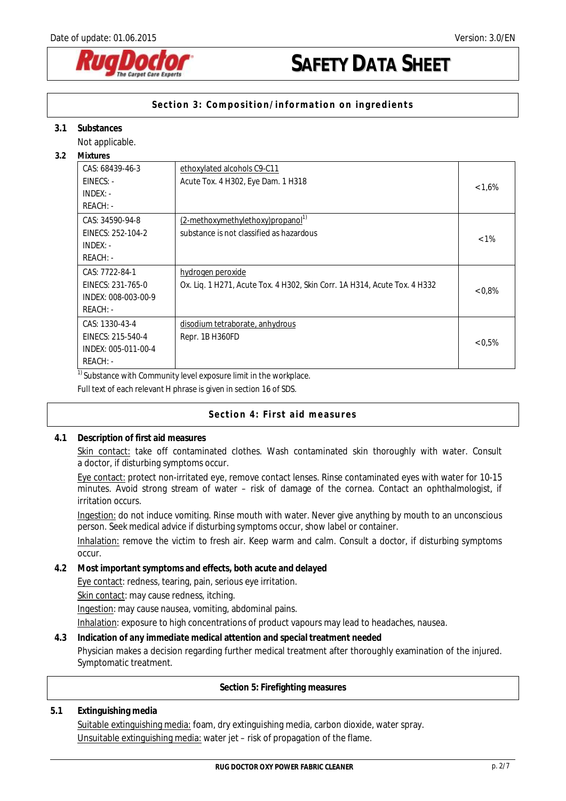

# **Section 3: Composition/information on ingredients**

### **3.1 Substances**

Not applicable.

**3.2 Mixtures** 

| <b>IVIIXTUFES</b>   |                                                                           |           |
|---------------------|---------------------------------------------------------------------------|-----------|
| CAS: 68439-46-3     | ethoxylated alcohols C9-C11                                               |           |
| $EINECS: -$         | Acute Tox. 4 H302, Eye Dam. 1 H318                                        | $< 1.6\%$ |
| $INDEX: -$          |                                                                           |           |
| REACH: -            |                                                                           |           |
| CAS: 34590-94-8     | (2-methoxymethylethoxy)propanol <sup>1)</sup>                             |           |
| EINECS: 252-104-2   | substance is not classified as hazardous                                  | $< 1\%$   |
| $INDEX: -$          |                                                                           |           |
| $REACH: -$          |                                                                           |           |
| CAS: 7722-84-1      | hydrogen peroxide                                                         |           |
| EINECS: 231-765-0   | Ox. Lig. 1 H271, Acute Tox. 4 H302, Skin Corr. 1A H314, Acute Tox. 4 H332 | $< 0.8\%$ |
| INDEX: 008-003-00-9 |                                                                           |           |
| REACH: -            |                                                                           |           |
| CAS: 1330-43-4      | disodium tetraborate, anhydrous                                           |           |
| EINECS: 215-540-4   | Repr. 1B H360FD                                                           |           |
| INDEX: 005-011-00-4 |                                                                           | < 0.5%    |
| REACH: -            |                                                                           |           |

 $1)$  Substance with Community level exposure limit in the workplace.

Full text of each relevant H phrase is given in section 16 of SDS.

## **Section 4: First aid measures**

**4.1 Description of first aid measures** 

Skin contact: take off contaminated clothes. Wash contaminated skin thoroughly with water. Consult a doctor, if disturbing symptoms occur.

Eye contact: protect non-irritated eye, remove contact lenses. Rinse contaminated eyes with water for 10-15 minutes. Avoid strong stream of water – risk of damage of the cornea. Contact an ophthalmologist, if irritation occurs.

Ingestion: do not induce vomiting. Rinse mouth with water. Never give anything by mouth to an unconscious person. Seek medical advice if disturbing symptoms occur, show label or container.

Inhalation: remove the victim to fresh air. Keep warm and calm. Consult a doctor, if disturbing symptoms occur.

**4.2 Most important symptoms and effects, both acute and delayed**  Eye contact: redness, tearing, pain, serious eye irritation. Skin contact: may cause redness, itching. Ingestion: may cause nausea, vomiting, abdominal pains.

Inhalation: exposure to high concentrations of product vapours may lead to headaches, nausea.

**4.3 Indication of any immediate medical attention and special treatment needed** Physician makes a decision regarding further medical treatment after thoroughly examination of the injured. Symptomatic treatment.

**Section 5: Firefighting measures**

## **5.1 Extinguishing media**

Suitable extinguishing media: foam, dry extinguishing media, carbon dioxide, water spray. Unsuitable extinguishing media: water jet – risk of propagation of the flame.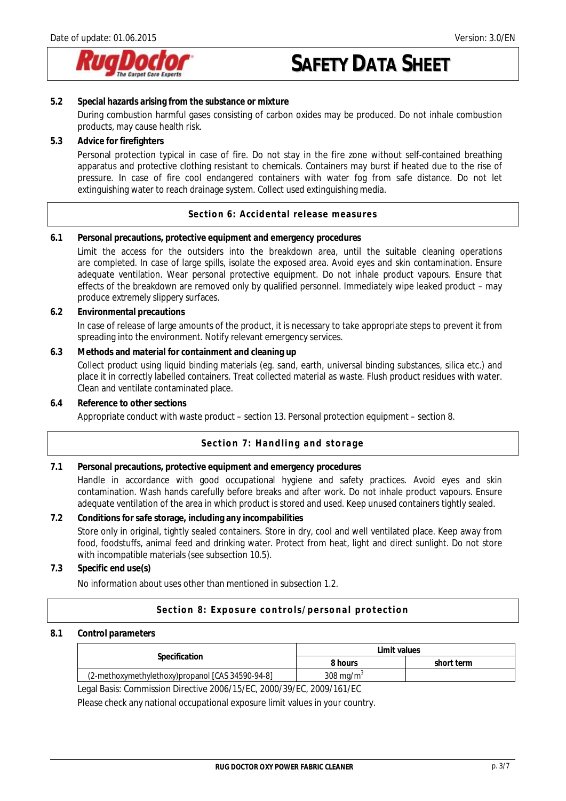

- **5.2 Special hazards arising from the substance or mixture**  During combustion harmful gases consisting of carbon oxides may be produced. Do not inhale combustion products, may cause health risk.
- **5.3 Advice for firefighters**

Personal protection typical in case of fire. Do not stay in the fire zone without self-contained breathing apparatus and protective clothing resistant to chemicals. Containers may burst if heated due to the rise of pressure. In case of fire cool endangered containers with water fog from safe distance. Do not let extinguishing water to reach drainage system. Collect used extinguishing media.

**Section 6: Accidental release measures** 

**6.1 Personal precautions, protective equipment and emergency procedures** 

Limit the access for the outsiders into the breakdown area, until the suitable cleaning operations are completed. In case of large spills, isolate the exposed area. Avoid eyes and skin contamination. Ensure adequate ventilation. Wear personal protective equipment. Do not inhale product vapours. Ensure that effects of the breakdown are removed only by qualified personnel. Immediately wipe leaked product – may produce extremely slippery surfaces.

- **6.2 Environmental precautions**  In case of release of large amounts of the product, it is necessary to take appropriate steps to prevent it from spreading into the environment. Notify relevant emergency services.
- **6.3 Methods and material for containment and cleaning up**

Collect product using liquid binding materials (eg. sand, earth, universal binding substances, silica etc.) and place it in correctly labelled containers. Treat collected material as waste. Flush product residues with water. Clean and ventilate contaminated place.

**6.4 Reference to other sections**

Appropriate conduct with waste product – section 13. Personal protection equipment – section 8.

## **Section 7: Handling and storage**

**7.1 Personal precautions, protective equipment and emergency procedures**  Handle in accordance with good occupational hygiene and safety practices. Avoid eyes and skin contamination. Wash hands carefully before breaks and after work. Do not inhale product vapours. Ensure adequate ventilation of the area in which product is stored and used. Keep unused containers tightly sealed.

**7.2 Conditions for safe storage, including any incompabilities**  Store only in original, tightly sealed containers. Store in dry, cool and well ventilated place. Keep away from food, foodstuffs, animal feed and drinking water. Protect from heat, light and direct sunlight. Do not store with incompatible materials (see subsection 10.5).

**7.3 Specific end use(s)** 

No information about uses other than mentioned in subsection 1.2.

## **Section 8: Exposure controls/personal protection**

### **8.1 Control parameters**

|                                                  | Limit values         |            |
|--------------------------------------------------|----------------------|------------|
| Specification                                    | 8 hours              | short term |
| (2-methoxymethylethoxy)propanol [CAS 34590-94-8] | $308 \text{ ma/m}^3$ |            |

Legal Basis: Commission Directive 2006/15/EC, 2000/39/EC, 2009/161/EC

Please check any national occupational exposure limit values in your country.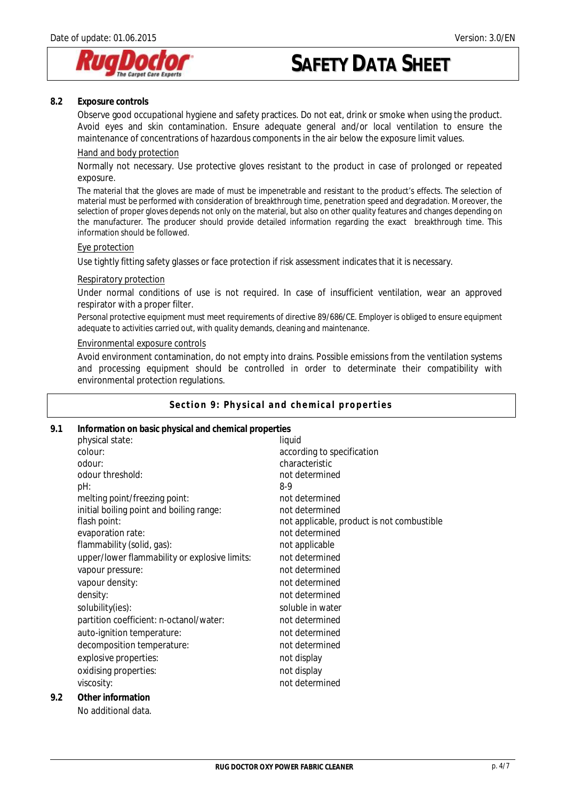

#### **8.2 Exposure controls**

Observe good occupational hygiene and safety practices. Do not eat, drink or smoke when using the product. Avoid eyes and skin contamination. Ensure adequate general and/or local ventilation to ensure the maintenance of concentrations of hazardous components in the air below the exposure limit values.

#### Hand and body protection

Normally not necessary. Use protective gloves resistant to the product in case of prolonged or repeated exposure.

The material that the gloves are made of must be impenetrable and resistant to the product's effects. The selection of material must be performed with consideration of breakthrough time, penetration speed and degradation. Moreover, the selection of proper gloves depends not only on the material, but also on other quality features and changes depending on the manufacturer. The producer should provide detailed information regarding the exact breakthrough time. This information should be followed.

#### Eye protection

Use tightly fitting safety glasses or face protection if risk assessment indicates that it is necessary.

#### Respiratory protection

Under normal conditions of use is not required. In case of insufficient ventilation, wear an approved respirator with a proper filter.

Personal protective equipment must meet requirements of directive 89/686/CE. Employer is obliged to ensure equipment adequate to activities carried out, with quality demands, cleaning and maintenance.

#### Environmental exposure controls

Avoid environment contamination, do not empty into drains. Possible emissions from the ventilation systems and processing equipment should be controlled in order to determinate their compatibility with environmental protection regulations.

#### **Section 9: Physical and chemical properties**

| 9.1<br>Information on basic physical and chemical properties |                                               |                                            |
|--------------------------------------------------------------|-----------------------------------------------|--------------------------------------------|
|                                                              | physical state:                               | liquid                                     |
|                                                              | colour:                                       | according to specification                 |
|                                                              | odour:                                        | characteristic                             |
|                                                              | odour threshold:                              | not determined                             |
|                                                              | pH:                                           | $8-9$                                      |
|                                                              | melting point/freezing point:                 | not determined                             |
|                                                              | initial boiling point and boiling range:      | not determined                             |
|                                                              | flash point:                                  | not applicable, product is not combustible |
|                                                              | evaporation rate:                             | not determined                             |
|                                                              | flammability (solid, gas):                    | not applicable                             |
|                                                              | upper/lower flammability or explosive limits: | not determined                             |
|                                                              | vapour pressure:                              | not determined                             |
|                                                              | vapour density:                               | not determined                             |
|                                                              | density:                                      | not determined                             |
|                                                              | solubility(ies):                              | soluble in water                           |
|                                                              | partition coefficient: n-octanol/water:       | not determined                             |
|                                                              | auto-ignition temperature:                    | not determined                             |
|                                                              | decomposition temperature:                    | not determined                             |
|                                                              | explosive properties:                         | not display                                |
|                                                              | oxidising properties:                         | not display                                |
|                                                              | viscosity:                                    | not determined                             |
| 9.2                                                          | Other information                             |                                            |
|                                                              |                                               |                                            |
|                                                              | No additional data.                           |                                            |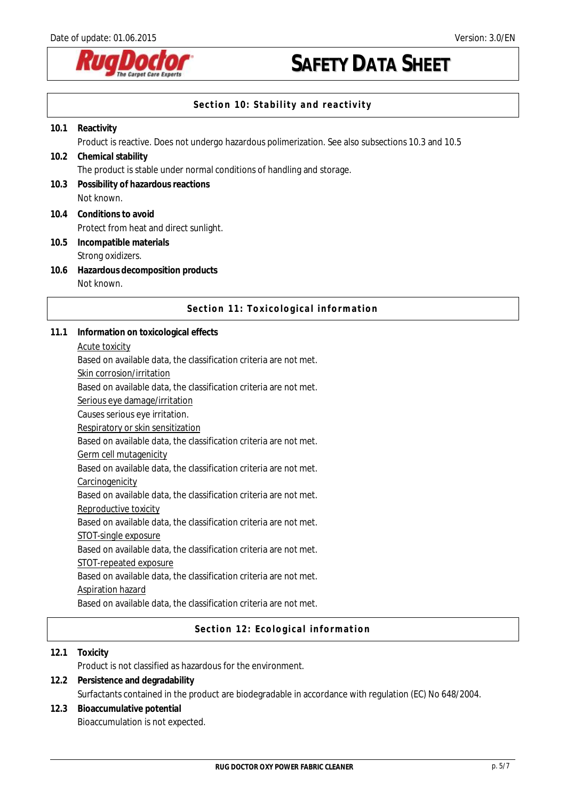

# **Section 10: Stability and reactivity**

| 10.1 | Reactivity                                                                                         |
|------|----------------------------------------------------------------------------------------------------|
|      | Product is reactive. Does not undergo hazardous polimerization. See also subsections 10.3 and 10.5 |
| 10.2 | Chemical stability                                                                                 |
|      | The product is stable under normal conditions of handling and storage.                             |
| 10.3 | Possibility of hazardous reactions                                                                 |
|      | Not known.                                                                                         |
|      | 10.4 Conditions to avoid                                                                           |
|      | Protect from heat and direct sunlight.                                                             |
| 10.5 | Incompatible materials                                                                             |
|      | Strong oxidizers.                                                                                  |
| 10.6 | Hazardous decomposition products                                                                   |
|      | Not known.                                                                                         |

# **Section 11: Toxicological information**

- **11.1 Information on toxicological effects** 
	- Acute toxicity

Based on available data, the classification criteria are not met.

Skin corrosion/irritation

Based on available data, the classification criteria are not met.

Serious eye damage/irritation

Causes serious eye irritation.

Respiratory or skin sensitization

Based on available data, the classification criteria are not met.

Germ cell mutagenicity

Based on available data, the classification criteria are not met.

**Carcinogenicity** 

Based on available data, the classification criteria are not met.

Reproductive toxicity

Based on available data, the classification criteria are not met.

STOT-single exposure

Based on available data, the classification criteria are not met.

STOT-repeated exposure

Based on available data, the classification criteria are not met.

Aspiration hazard

Based on available data, the classification criteria are not met.

## **Section 12: Ecological information**

**12.1 Toxicity**  Product is not classified as hazardous for the environment. **12.2 Persistence and degradability** 

- Surfactants contained in the product are biodegradable in accordance with regulation (EC) No 648/2004.
- **12.3 Bioaccumulative potential**  Bioaccumulation is not expected.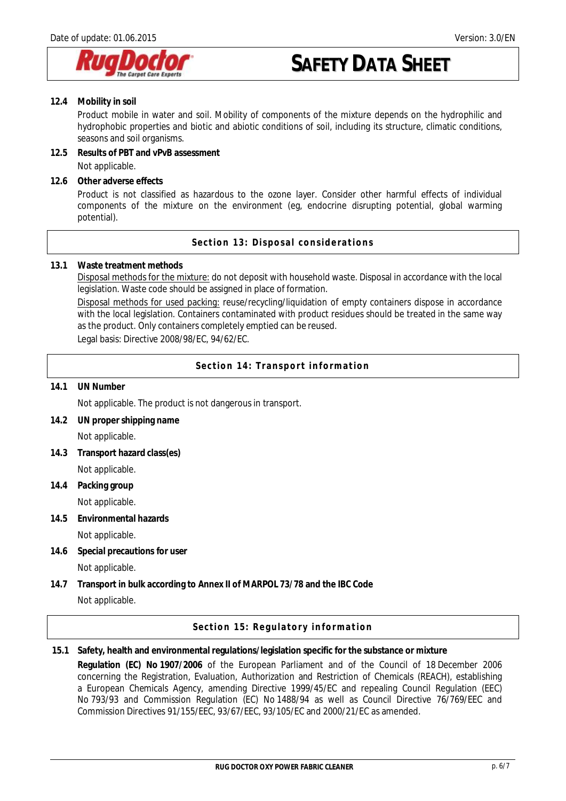

**12.4 Mobility in soil** 

Product mobile in water and soil. Mobility of components of the mixture depends on the hydrophilic and hydrophobic properties and biotic and abiotic conditions of soil, including its structure, climatic conditions, seasons and soil organisms.

- **12.5 Results of PBT and vPvB assessment**  Not applicable.
- **12.6 Other adverse effects**

Product is not classified as hazardous to the ozone layer. Consider other harmful effects of individual components of the mixture on the environment (eg, endocrine disrupting potential, global warming potential).

**Section 13: Disposal considerations** 

**13.1 Waste treatment methods** 

Disposal methods for the mixture: do not deposit with household waste. Disposal in accordance with the local legislation. Waste code should be assigned in place of formation.

Disposal methods for used packing: reuse/recycling/liquidation of empty containers dispose in accordance with the local legislation. Containers contaminated with product residues should be treated in the same way as the product. Only containers completely emptied can be reused.

Legal basis: Directive 2008/98/EC, 94/62/EC.

**Section 14: Transport information** 

**14.1 UN Number**

Not applicable. The product is not dangerous in transport.

- **14.2 UN proper shipping name**  Not applicable.
- **14.3 Transport hazard class(es)**  Not applicable.
- **14.4 Packing group**  Not applicable.
- **14.5 Environmental hazards** 
	- Not applicable.
- **14.6 Special precautions for user**  Not applicable.
- **14.7 Transport in bulk according to Annex II of MARPOL 73/78 and the IBC Code**  Not applicable.

**Section 15: Regulatory information** 

**15.1 Safety, health and environmental regulations/legislation specific for the substance or mixture Regulation (EC) No 1907/2006** of the European Parliament and of the Council of 18 December 2006 concerning the Registration, Evaluation, Authorization and Restriction of Chemicals (REACH), establishing a European Chemicals Agency, amending Directive 1999/45/EC and repealing Council Regulation (EEC) No 793/93 and Commission Regulation (EC) No 1488/94 as well as Council Directive 76/769/EEC and Commission Directives 91/155/EEC, 93/67/EEC, 93/105/EC and 2000/21/EC as amended.